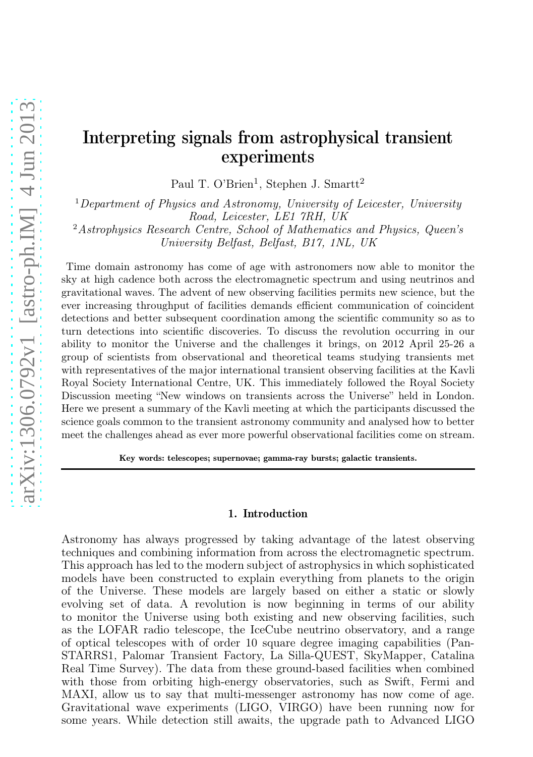# Interpreting signals from astrophysical transient experiments

Paul T. O'Brien<sup>1</sup>, Stephen J. Smartt<sup>2</sup>

 $1$ Department of Physics and Astronomy, University of Leicester, University Road, Leicester, LE1 7RH, UK

<sup>2</sup>Astrophysics Research Centre, School of Mathematics and Physics, Queen's University Belfast, Belfast, B17, 1NL, UK

Time domain astronomy has come of age with astronomers now able to monitor the sky at high cadence both across the electromagnetic spectrum and using neutrinos and gravitational waves. The advent of new observing facilities permits new science, but the ever increasing throughput of facilities demands efficient communication of coincident detections and better subsequent coordination among the scientific community so as to turn detections into scientific discoveries. To discuss the revolution occurring in our ability to monitor the Universe and the challenges it brings, on 2012 April 25-26 a group of scientists from observational and theoretical teams studying transients met with representatives of the major international transient observing facilities at the Kavli Royal Society International Centre, UK. This immediately followed the Royal Society Discussion meeting "New windows on transients across the Universe" held in London. Here we present a summary of the Kavli meeting at which the participants discussed the science goals common to the transient astronomy community and analysed how to better meet the challenges ahead as ever more powerful observational facilities come on stream.

Key words: telescopes; supernovae; gamma-ray bursts; galactic transients.

### 1. Introduction

Astronomy has always progressed by taking advantage of the latest observing techniques and combining information from across the electromagnetic spectrum. This approach has led to the modern subject of astrophysics in which sophisticated models have been constructed to explain everything from planets to the origin of the Universe. These models are largely based on either a static or slowly evolving set of data. A revolution is now beginning in terms of our ability to monitor the Universe using both existing and new observing facilities, such as the LOFAR radio telescope, the IceCube neutrino observatory, and a range of optical telescopes with of order 10 square degree imaging capabilities (Pan-STARRS1, Palomar Transient Factory, La Silla-QUEST, SkyMapper, Catalina Real Time Survey). The data from these ground-based facilities when combined with those from orbiting high-energy observatories, such as Swift, Fermi and MAXI, allow us to say that multi-messenger astronomy has now come of age. Gravitational wave experiments (LIGO, VIRGO) have been running now for some years. While detection still awaits, the upgrade path to Advanced LIGO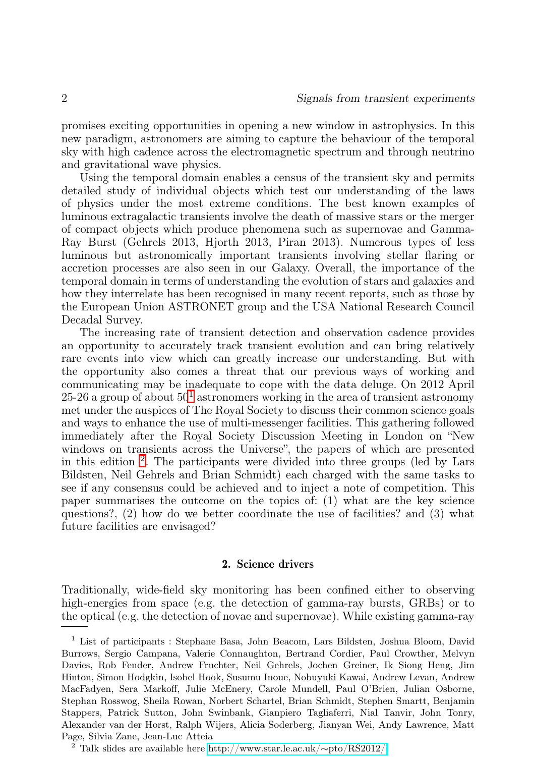promises exciting opportunities in opening a new window in astrophysics. In this new paradigm, astronomers are aiming to capture the behaviour of the temporal sky with high cadence across the electromagnetic spectrum and through neutrino and gravitational wave physics.

Using the temporal domain enables a census of the transient sky and permits detailed study of individual objects which test our understanding of the laws of physics under the most extreme conditions. The best known examples of luminous extragalactic transients involve the death of massive stars or the merger of compact objects which produce phenomena such as supernovae and Gamma-Ray Burst (Gehrels 2013, Hjorth 2013, Piran 2013). Numerous types of less luminous but astronomically important transients involving stellar flaring or accretion processes are also seen in our Galaxy. Overall, the importance of the temporal domain in terms of understanding the evolution of stars and galaxies and how they interrelate has been recognised in many recent reports, such as those by the European Union ASTRONET group and the USA National Research Council Decadal Survey.

The increasing rate of transient detection and observation cadence provides an opportunity to accurately track transient evolution and can bring relatively rare events into view which can greatly increase our understanding. But with the opportunity also comes a threat that our previous ways of working and communicating may be inadequate to cope with the data deluge. On 2012 April 25-26 a group of about  $50^1$  $50^1$  astronomers working in the area of transient astronomy met under the auspices of The Royal Society to discuss their common science goals and ways to enhance the use of multi-messenger facilities. This gathering followed immediately after the Royal Society Discussion Meeting in London on "New windows on transients across the Universe", the papers of which are presented in this edition [2](#page-1-1) . The participants were divided into three groups (led by Lars Bildsten, Neil Gehrels and Brian Schmidt) each charged with the same tasks to see if any consensus could be achieved and to inject a note of competition. This paper summarises the outcome on the topics of: (1) what are the key science questions?, (2) how do we better coordinate the use of facilities? and (3) what future facilities are envisaged?

# 2. Science drivers

Traditionally, wide-field sky monitoring has been confined either to observing high-energies from space (e.g. the detection of gamma-ray bursts, GRBs) or to the optical (e.g. the detection of novae and supernovae). While existing gamma-ray

<span id="page-1-0"></span><sup>1</sup> List of participants : Stephane Basa, John Beacom, Lars Bildsten, Joshua Bloom, David Burrows, Sergio Campana, Valerie Connaughton, Bertrand Cordier, Paul Crowther, Melvyn Davies, Rob Fender, Andrew Fruchter, Neil Gehrels, Jochen Greiner, Ik Siong Heng, Jim Hinton, Simon Hodgkin, Isobel Hook, Susumu Inoue, Nobuyuki Kawai, Andrew Levan, Andrew MacFadyen, Sera Markoff, Julie McEnery, Carole Mundell, Paul O'Brien, Julian Osborne, Stephan Rosswog, Sheila Rowan, Norbert Schartel, Brian Schmidt, Stephen Smartt, Benjamin Stappers, Patrick Sutton, John Swinbank, Gianpiero Tagliaferri, Nial Tanvir, John Tonry, Alexander van der Horst, Ralph Wijers, Alicia Soderberg, Jianyan Wei, Andy Lawrence, Matt Page, Silvia Zane, Jean-Luc Atteia

<span id="page-1-1"></span><sup>2</sup> Talk slides are available here [http://www.star.le.ac.uk/](http://www.star.le.ac.uk/~pto/RS2012/)∼pto/RS2012/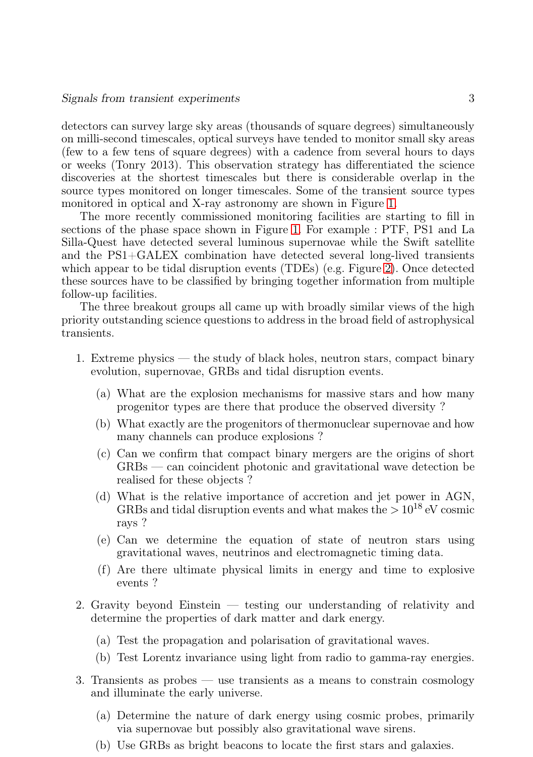detectors can survey large sky areas (thousands of square degrees) simultaneously on milli-second timescales, optical surveys have tended to monitor small sky areas (few to a few tens of square degrees) with a cadence from several hours to days or weeks (Tonry 2013). This observation strategy has differentiated the science discoveries at the shortest timescales but there is considerable overlap in the source types monitored on longer timescales. Some of the transient source types monitored in optical and X-ray astronomy are shown in Figure [1.](#page-3-0)

The more recently commissioned monitoring facilities are starting to fill in sections of the phase space shown in Figure [1.](#page-3-0) For example : PTF, PS1 and La Silla-Quest have detected several luminous supernovae while the Swift satellite and the PS1+GALEX combination have detected several long-lived transients which appear to be tidal disruption events (TDEs) (e.g. Figure [2\)](#page-4-0). Once detected these sources have to be classified by bringing together information from multiple follow-up facilities.

The three breakout groups all came up with broadly similar views of the high priority outstanding science questions to address in the broad field of astrophysical transients.

- 1. Extreme physics the study of black holes, neutron stars, compact binary evolution, supernovae, GRBs and tidal disruption events.
	- (a) What are the explosion mechanisms for massive stars and how many progenitor types are there that produce the observed diversity ?
	- (b) What exactly are the progenitors of thermonuclear supernovae and how many channels can produce explosions ?
	- (c) Can we confirm that compact binary mergers are the origins of short GRBs — can coincident photonic and gravitational wave detection be realised for these objects ?
	- (d) What is the relative importance of accretion and jet power in AGN, GRBs and tidal disruption events and what makes the  $> 10^{18}$  eV cosmic rays ?
	- (e) Can we determine the equation of state of neutron stars using gravitational waves, neutrinos and electromagnetic timing data.
	- (f) Are there ultimate physical limits in energy and time to explosive events ?
- 2. Gravity beyond Einstein testing our understanding of relativity and determine the properties of dark matter and dark energy.
	- (a) Test the propagation and polarisation of gravitational waves.
	- (b) Test Lorentz invariance using light from radio to gamma-ray energies.
- 3. Transients as probes use transients as a means to constrain cosmology and illuminate the early universe.
	- (a) Determine the nature of dark energy using cosmic probes, primarily via supernovae but possibly also gravitational wave sirens.
	- (b) Use GRBs as bright beacons to locate the first stars and galaxies.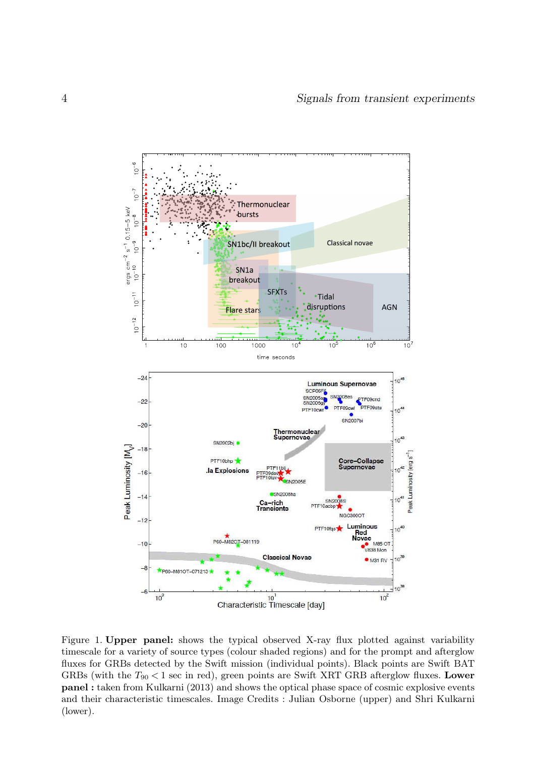

<span id="page-3-0"></span>Figure 1. Upper panel: shows the typical observed X-ray flux plotted against variability timescale for a variety of source types (colour shaded regions) and for the prompt and afterglow fluxes for GRBs detected by the Swift mission (individual points). Black points are Swift BAT GRBs (with the  $T_{90}$  < 1 sec in red), green points are Swift XRT GRB afterglow fluxes. Lower panel : taken from Kulkarni (2013) and shows the optical phase space of cosmic explosive events and their characteristic timescales. Image Credits : Julian Osborne (upper) and Shri Kulkarni (lower).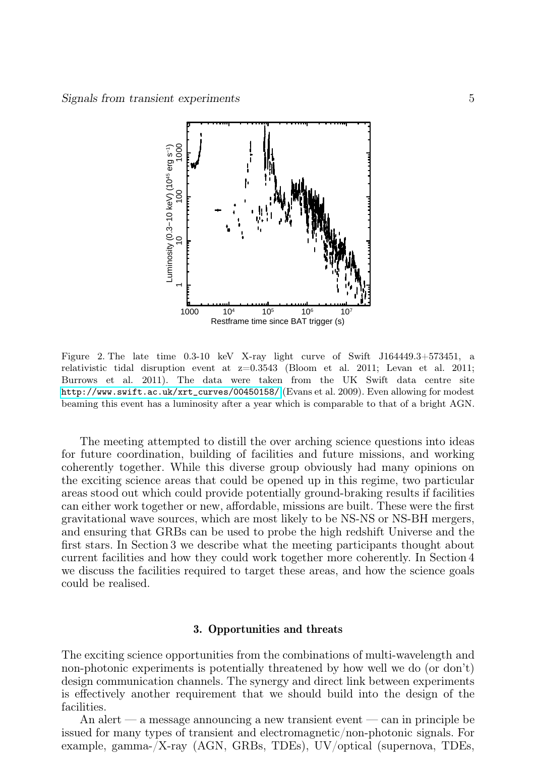

<span id="page-4-0"></span>Figure 2. The late time 0.3-10 keV X-ray light curve of Swift J164449.3+573451, a relativistic tidal disruption event at z=0.3543 (Bloom et al. 2011; Levan et al. 2011; Burrows et al. 2011). The data were taken from the UK Swift data centre site [http://www.swift.ac.uk/xrt\\_curves/00450158/](http://www.swift.ac.uk/xrt_curves/00450158/) (Evans et al. 2009). Even allowing for modest beaming this event has a luminosity after a year which is comparable to that of a bright AGN.

The meeting attempted to distill the over arching science questions into ideas for future coordination, building of facilities and future missions, and working coherently together. While this diverse group obviously had many opinions on the exciting science areas that could be opened up in this regime, two particular areas stood out which could provide potentially ground-braking results if facilities can either work together or new, affordable, missions are built. These were the first gravitational wave sources, which are most likely to be NS-NS or NS-BH mergers, and ensuring that GRBs can be used to probe the high redshift Universe and the first stars. In Section 3 we describe what the meeting participants thought about current facilities and how they could work together more coherently. In Section 4 we discuss the facilities required to target these areas, and how the science goals could be realised.

#### 3. Opportunities and threats

The exciting science opportunities from the combinations of multi-wavelength and non-photonic experiments is potentially threatened by how well we do (or don't) design communication channels. The synergy and direct link between experiments is effectively another requirement that we should build into the design of the facilities.

An alert — a message announcing a new transient event — can in principle be issued for many types of transient and electromagnetic/non-photonic signals. For example, gamma-/X-ray (AGN, GRBs, TDEs), UV/optical (supernova, TDEs,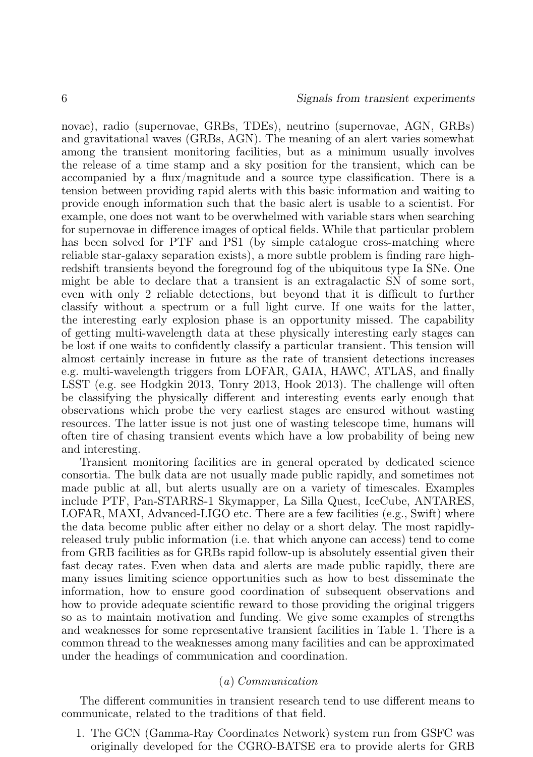novae), radio (supernovae, GRBs, TDEs), neutrino (supernovae, AGN, GRBs) and gravitational waves (GRBs, AGN). The meaning of an alert varies somewhat among the transient monitoring facilities, but as a minimum usually involves the release of a time stamp and a sky position for the transient, which can be accompanied by a flux/magnitude and a source type classification. There is a tension between providing rapid alerts with this basic information and waiting to provide enough information such that the basic alert is usable to a scientist. For example, one does not want to be overwhelmed with variable stars when searching for supernovae in difference images of optical fields. While that particular problem has been solved for PTF and PS1 (by simple catalogue cross-matching where reliable star-galaxy separation exists), a more subtle problem is finding rare highredshift transients beyond the foreground fog of the ubiquitous type Ia SNe. One might be able to declare that a transient is an extragalactic SN of some sort, even with only 2 reliable detections, but beyond that it is difficult to further classify without a spectrum or a full light curve. If one waits for the latter, the interesting early explosion phase is an opportunity missed. The capability of getting multi-wavelength data at these physically interesting early stages can be lost if one waits to confidently classify a particular transient. This tension will almost certainly increase in future as the rate of transient detections increases e.g. multi-wavelength triggers from LOFAR, GAIA, HAWC, ATLAS, and finally LSST (e.g. see Hodgkin 2013, Tonry 2013, Hook 2013). The challenge will often be classifying the physically different and interesting events early enough that observations which probe the very earliest stages are ensured without wasting resources. The latter issue is not just one of wasting telescope time, humans will often tire of chasing transient events which have a low probability of being new and interesting.

Transient monitoring facilities are in general operated by dedicated science consortia. The bulk data are not usually made public rapidly, and sometimes not made public at all, but alerts usually are on a variety of timescales. Examples include PTF, Pan-STARRS-1 Skymapper, La Silla Quest, IceCube, ANTARES, LOFAR, MAXI, Advanced-LIGO etc. There are a few facilities (e.g., Swift) where the data become public after either no delay or a short delay. The most rapidlyreleased truly public information (i.e. that which anyone can access) tend to come from GRB facilities as for GRBs rapid follow-up is absolutely essential given their fast decay rates. Even when data and alerts are made public rapidly, there are many issues limiting science opportunities such as how to best disseminate the information, how to ensure good coordination of subsequent observations and how to provide adequate scientific reward to those providing the original triggers so as to maintain motivation and funding. We give some examples of strengths and weaknesses for some representative transient facilities in Table 1. There is a common thread to the weaknesses among many facilities and can be approximated under the headings of communication and coordination.

### (a) Communication

The different communities in transient research tend to use different means to communicate, related to the traditions of that field.

1. The GCN (Gamma-Ray Coordinates Network) system run from GSFC was originally developed for the CGRO-BATSE era to provide alerts for GRB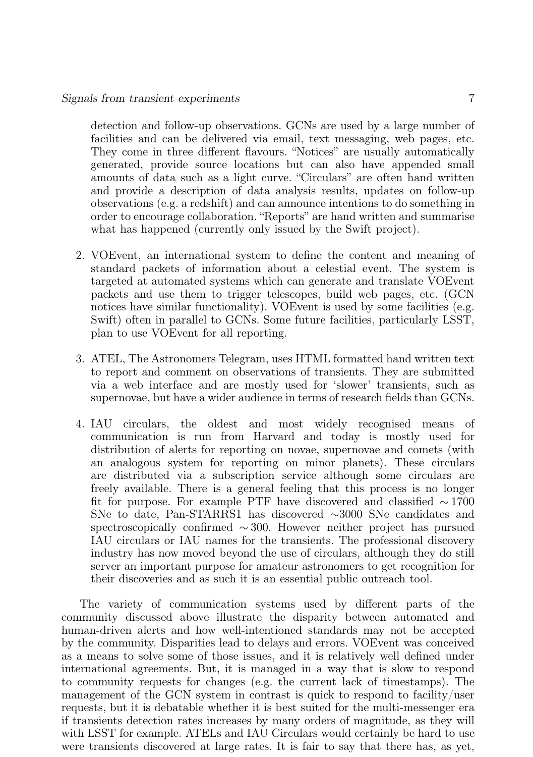detection and follow-up observations. GCNs are used by a large number of facilities and can be delivered via email, text messaging, web pages, etc. They come in three different flavours. "Notices" are usually automatically generated, provide source locations but can also have appended small amounts of data such as a light curve. "Circulars" are often hand written and provide a description of data analysis results, updates on follow-up observations (e.g. a redshift) and can announce intentions to do something in order to encourage collaboration. "Reports" are hand written and summarise what has happened (currently only issued by the Swift project).

- 2. VOEvent, an international system to define the content and meaning of standard packets of information about a celestial event. The system is targeted at automated systems which can generate and translate VOEvent packets and use them to trigger telescopes, build web pages, etc. (GCN notices have similar functionality). VOEvent is used by some facilities (e.g. Swift) often in parallel to GCNs. Some future facilities, particularly LSST, plan to use VOEvent for all reporting.
- 3. ATEL, The Astronomers Telegram, uses HTML formatted hand written text to report and comment on observations of transients. They are submitted via a web interface and are mostly used for 'slower' transients, such as supernovae, but have a wider audience in terms of research fields than GCNs.
- 4. IAU circulars, the oldest and most widely recognised means of communication is run from Harvard and today is mostly used for distribution of alerts for reporting on novae, supernovae and comets (with an analogous system for reporting on minor planets). These circulars are distributed via a subscription service although some circulars are freely available. There is a general feeling that this process is no longer fit for purpose. For example PTF have discovered and classified ∼ 1700 SNe to date, Pan-STARRS1 has discovered ∼3000 SNe candidates and spectroscopically confirmed ∼ 300. However neither project has pursued IAU circulars or IAU names for the transients. The professional discovery industry has now moved beyond the use of circulars, although they do still server an important purpose for amateur astronomers to get recognition for their discoveries and as such it is an essential public outreach tool.

The variety of communication systems used by different parts of the community discussed above illustrate the disparity between automated and human-driven alerts and how well-intentioned standards may not be accepted by the community. Disparities lead to delays and errors. VOEvent was conceived as a means to solve some of those issues, and it is relatively well defined under international agreements. But, it is managed in a way that is slow to respond to community requests for changes (e.g. the current lack of timestamps). The management of the GCN system in contrast is quick to respond to facility/user requests, but it is debatable whether it is best suited for the multi-messenger era if transients detection rates increases by many orders of magnitude, as they will with LSST for example. ATELs and IAU Circulars would certainly be hard to use were transients discovered at large rates. It is fair to say that there has, as yet,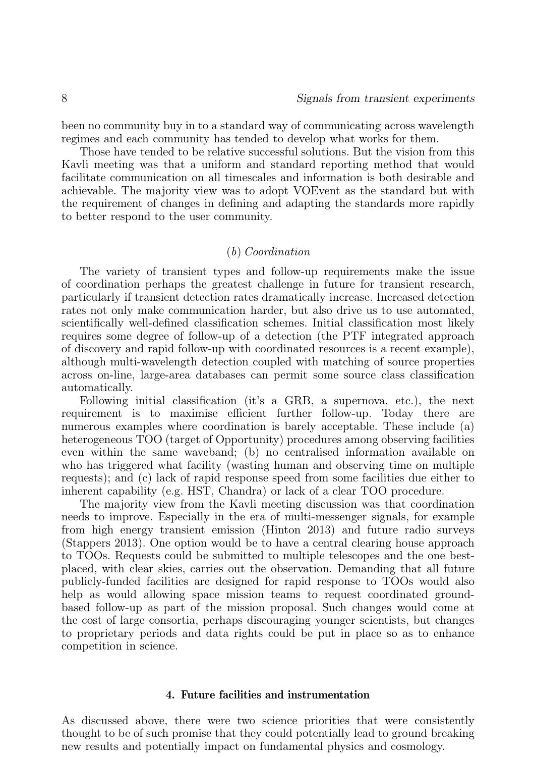been no community buy in to a standard way of communicating across wavelength regimes and each community has tended to develop what works for them.

Those have tended to be relative successful solutions. But the vision from this Kavli meeting was that a uniform and standard reporting method that would facilitate communication on all timescales and information is both desirable and achievable. The majority view was to adopt VOEvent as the standard but with the requirement of changes in defining and adapting the standards more rapidly to better respond to the user community.

# (b) Coordination

The variety of transient types and follow-up requirements make the issue of coordination perhaps the greatest challenge in future for transient research, particularly if transient detection rates dramatically increase. Increased detection rates not only make communication harder, but also drive us to use automated, scientifically well-defined classification schemes. Initial classification most likely requires some degree of follow-up of a detection (the PTF integrated approach of discovery and rapid follow-up with coordinated resources is a recent example), although multi-wavelength detection coupled with matching of source properties across on-line, large-area databases can permit some source class classification automatically.

Following initial classification (it's a GRB, a supernova, etc.), the next requirement is to maximise efficient further follow-up. Today there are numerous examples where coordination is barely acceptable. These include (a) heterogeneous TOO (target of Opportunity) procedures among observing facilities even within the same waveband; (b) no centralised information available on who has triggered what facility (wasting human and observing time on multiple requests); and (c) lack of rapid response speed from some facilities due either to inherent capability (e.g. HST, Chandra) or lack of a clear TOO procedure.

The majority view from the Kavli meeting discussion was that coordination needs to improve. Especially in the era of multi-messenger signals, for example from high energy transient emission (Hinton 2013) and future radio surveys (Stappers 2013). One option would be to have a central clearing house approach to TOOs. Requests could be submitted to multiple telescopes and the one bestplaced, with clear skies, carries out the observation. Demanding that all future publicly-funded facilities are designed for rapid response to TOOs would also help as would allowing space mission teams to request coordinated groundbased follow-up as part of the mission proposal. Such changes would come at the cost of large consortia, perhaps discouraging younger scientists, but changes to proprietary periods and data rights could be put in place so as to enhance competition in science.

# 4. Future facilities and instrumentation

As discussed above, there were two science priorities that were consistently thought to be of such promise that they could potentially lead to ground breaking new results and potentially impact on fundamental physics and cosmology.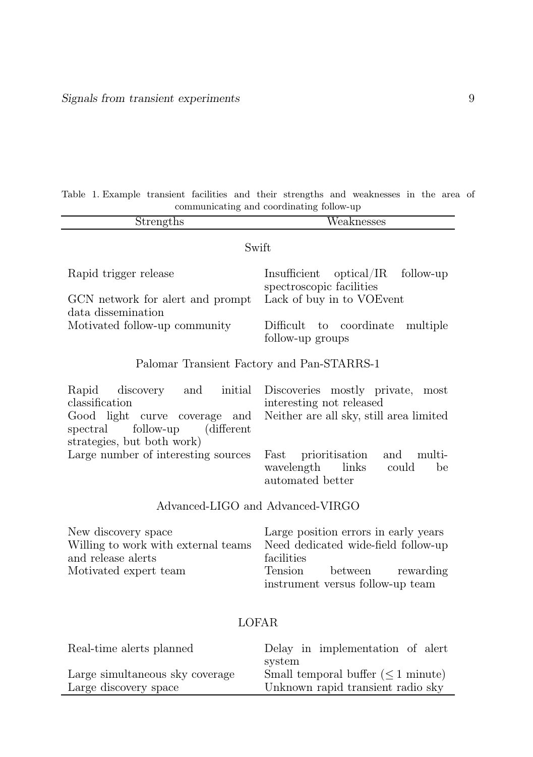|                                          | Table 1. Example transient facilities and their strengths and weaknesses in the area of |  |  |  |  |  |  |  |  |  |  |  |
|------------------------------------------|-----------------------------------------------------------------------------------------|--|--|--|--|--|--|--|--|--|--|--|
| communicating and coordinating follow-up |                                                                                         |  |  |  |  |  |  |  |  |  |  |  |

| Strengths                                                                                                                 | $\overline{\text{Weakness}}$ es                                                                                                                               |  |  |  |  |  |  |
|---------------------------------------------------------------------------------------------------------------------------|---------------------------------------------------------------------------------------------------------------------------------------------------------------|--|--|--|--|--|--|
| Swift                                                                                                                     |                                                                                                                                                               |  |  |  |  |  |  |
| Rapid trigger release                                                                                                     | Insufficient optical/IR<br>follow-up<br>spectroscopic facilities                                                                                              |  |  |  |  |  |  |
| GCN network for a lert and prompt<br>data dissemination                                                                   | Lack of buy in to VOEvent                                                                                                                                     |  |  |  |  |  |  |
| Motivated follow-up community                                                                                             | Difficult to coordinate<br>multiple<br>follow-up groups                                                                                                       |  |  |  |  |  |  |
| Palomar Transient Factory and Pan-STARRS-1                                                                                |                                                                                                                                                               |  |  |  |  |  |  |
| Rapid discovery and<br>initial<br>classification<br>Good light curve coverage and<br>follow-up<br>(different)<br>spectral | Discoveries mostly private, most<br>interesting not released<br>Neither are all sky, still area limited                                                       |  |  |  |  |  |  |
| strategies, but both work)<br>Large number of interesting sources                                                         | Fast<br>prioritisation<br>and<br>multi-<br>wavelength links<br>could<br>be<br>automated better                                                                |  |  |  |  |  |  |
| Advanced-LIGO and Advanced-VIRGO                                                                                          |                                                                                                                                                               |  |  |  |  |  |  |
| New discovery space<br>Willing to work with external teams<br>and release alerts<br>Motivated expert team                 | Large position errors in early years<br>Need dedicated wide-field follow-up<br>facilities<br>Tension<br>between rewarding<br>instrument versus follow-up team |  |  |  |  |  |  |
|                                                                                                                           | <b>LOFAR</b>                                                                                                                                                  |  |  |  |  |  |  |
| Real-time alerts planned                                                                                                  | Delay in implementation of alert<br>system                                                                                                                    |  |  |  |  |  |  |
| Large simultaneous sky coverage<br>Large discovery space                                                                  | Small temporal buffer $(\leq 1$ minute)<br>Unknown rapid transient radio sky                                                                                  |  |  |  |  |  |  |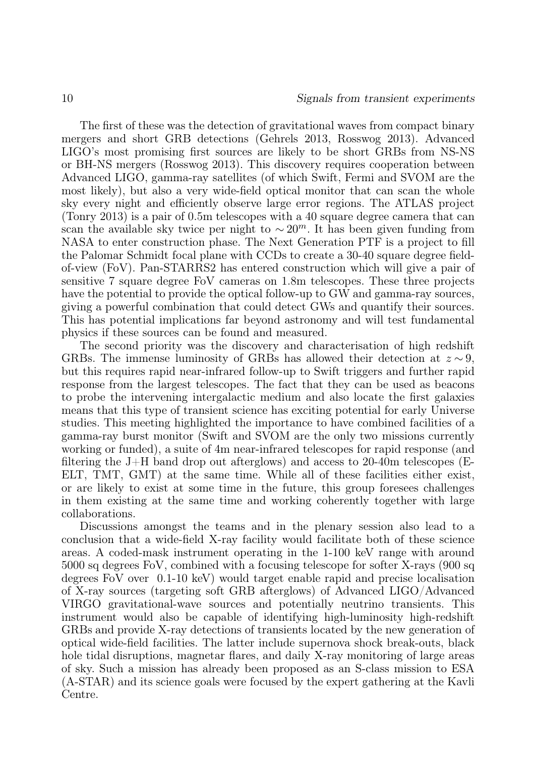The first of these was the detection of gravitational waves from compact binary mergers and short GRB detections (Gehrels 2013, Rosswog 2013). Advanced LIGO's most promising first sources are likely to be short GRBs from NS-NS or BH-NS mergers (Rosswog 2013). This discovery requires cooperation between Advanced LIGO, gamma-ray satellites (of which Swift, Fermi and SVOM are the most likely), but also a very wide-field optical monitor that can scan the whole sky every night and efficiently observe large error regions. The ATLAS project (Tonry 2013) is a pair of 0.5m telescopes with a 40 square degree camera that can scan the available sky twice per night to  $\sim 20^m$ . It has been given funding from NASA to enter construction phase. The Next Generation PTF is a project to fill the Palomar Schmidt focal plane with CCDs to create a 30-40 square degree fieldof-view (FoV). Pan-STARRS2 has entered construction which will give a pair of sensitive 7 square degree FoV cameras on 1.8m telescopes. These three projects have the potential to provide the optical follow-up to GW and gamma-ray sources, giving a powerful combination that could detect GWs and quantify their sources. This has potential implications far beyond astronomy and will test fundamental physics if these sources can be found and measured.

The second priority was the discovery and characterisation of high redshift GRBs. The immense luminosity of GRBs has allowed their detection at  $z \sim 9$ , but this requires rapid near-infrared follow-up to Swift triggers and further rapid response from the largest telescopes. The fact that they can be used as beacons to probe the intervening intergalactic medium and also locate the first galaxies means that this type of transient science has exciting potential for early Universe studies. This meeting highlighted the importance to have combined facilities of a gamma-ray burst monitor (Swift and SVOM are the only two missions currently working or funded), a suite of 4m near-infrared telescopes for rapid response (and filtering the J+H band drop out afterglows) and access to 20-40m telescopes (E-ELT, TMT, GMT) at the same time. While all of these facilities either exist, or are likely to exist at some time in the future, this group foresees challenges in them existing at the same time and working coherently together with large collaborations.

Discussions amongst the teams and in the plenary session also lead to a conclusion that a wide-field X-ray facility would facilitate both of these science areas. A coded-mask instrument operating in the 1-100 keV range with around 5000 sq degrees FoV, combined with a focusing telescope for softer X-rays (900 sq degrees FoV over 0.1-10 keV) would target enable rapid and precise localisation of X-ray sources (targeting soft GRB afterglows) of Advanced LIGO/Advanced VIRGO gravitational-wave sources and potentially neutrino transients. This instrument would also be capable of identifying high-luminosity high-redshift GRBs and provide X-ray detections of transients located by the new generation of optical wide-field facilities. The latter include supernova shock break-outs, black hole tidal disruptions, magnetar flares, and daily X-ray monitoring of large areas of sky. Such a mission has already been proposed as an S-class mission to ESA (A-STAR) and its science goals were focused by the expert gathering at the Kavli Centre.